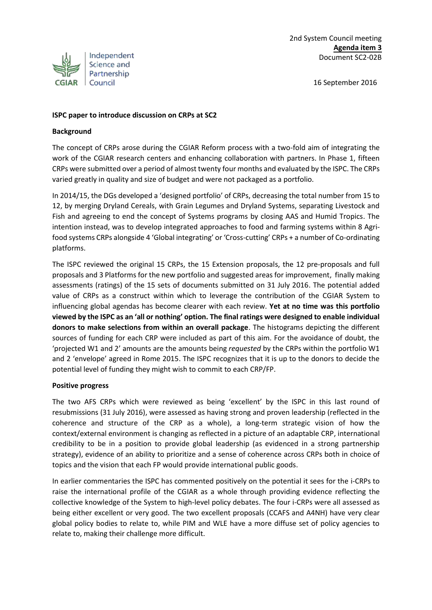

## **ISPC paper to introduce discussion on CRPs at SC2**

### **Background**

The concept of CRPs arose during the CGIAR Reform process with a two-fold aim of integrating the work of the CGIAR research centers and enhancing collaboration with partners. In Phase 1, fifteen CRPs were submitted over a period of almost twenty four months and evaluated by the ISPC. The CRPs varied greatly in quality and size of budget and were not packaged as a portfolio.

In 2014/15, the DGs developed a 'designed portfolio' of CRPs, decreasing the total number from 15 to 12, by merging Dryland Cereals, with Grain Legumes and Dryland Systems, separating Livestock and Fish and agreeing to end the concept of Systems programs by closing AAS and Humid Tropics. The intention instead, was to develop integrated approaches to food and farming systems within 8 Agrifood systems CRPs alongside 4 'Global integrating' or 'Cross-cutting' CRPs + a number of Co-ordinating platforms.

The ISPC reviewed the original 15 CRPs, the 15 Extension proposals, the 12 pre-proposals and full proposals and 3 Platforms for the new portfolio and suggested areas for improvement, finally making assessments (ratings) of the 15 sets of documents submitted on 31 July 2016. The potential added value of CRPs as a construct within which to leverage the contribution of the CGIAR System to influencing global agendas has become clearer with each review. **Yet at no time was this portfolio viewed by the ISPC as an 'all or nothing' option. The final ratings were designed to enable individual donors to make selections from within an overall package**. The histograms depicting the different sources of funding for each CRP were included as part of this aim. For the avoidance of doubt, the 'projected W1 and 2' amounts are the amounts being *requested* by the CRPs within the portfolio W1 and 2 'envelope' agreed in Rome 2015. The ISPC recognizes that it is up to the donors to decide the potential level of funding they might wish to commit to each CRP/FP.

### **Positive progress**

The two AFS CRPs which were reviewed as being 'excellent' by the ISPC in this last round of resubmissions (31 July 2016), were assessed as having strong and proven leadership (reflected in the coherence and structure of the CRP as a whole), a long-term strategic vision of how the context/external environment is changing as reflected in a picture of an adaptable CRP, international credibility to be in a position to provide global leadership (as evidenced in a strong partnership strategy), evidence of an ability to prioritize and a sense of coherence across CRPs both in choice of topics and the vision that each FP would provide international public goods.

In earlier commentaries the ISPC has commented positively on the potential it sees for the i-CRPs to raise the international profile of the CGIAR as a whole through providing evidence reflecting the collective knowledge of the System to high-level policy debates. The four i-CRPs were all assessed as being either excellent or very good. The two excellent proposals (CCAFS and A4NH) have very clear global policy bodies to relate to, while PIM and WLE have a more diffuse set of policy agencies to relate to, making their challenge more difficult.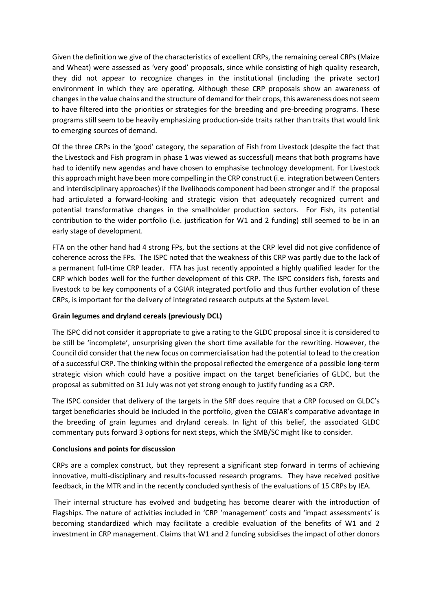Given the definition we give of the characteristics of excellent CRPs, the remaining cereal CRPs (Maize and Wheat) were assessed as 'very good' proposals, since while consisting of high quality research, they did not appear to recognize changes in the institutional (including the private sector) environment in which they are operating. Although these CRP proposals show an awareness of changes in the value chains and the structure of demand for their crops, this awareness does not seem to have filtered into the priorities or strategies for the breeding and pre-breeding programs. These programs still seem to be heavily emphasizing production-side traits rather than traits that would link to emerging sources of demand.

Of the three CRPs in the 'good' category, the separation of Fish from Livestock (despite the fact that the Livestock and Fish program in phase 1 was viewed as successful) means that both programs have had to identify new agendas and have chosen to emphasise technology development. For Livestock this approach might have been more compelling in the CRP construct (i.e. integration between Centers and interdisciplinary approaches) if the livelihoods component had been stronger and if the proposal had articulated a forward-looking and strategic vision that adequately recognized current and potential transformative changes in the smallholder production sectors. For Fish, its potential contribution to the wider portfolio (i.e. justification for W1 and 2 funding) still seemed to be in an early stage of development.

FTA on the other hand had 4 strong FPs, but the sections at the CRP level did not give confidence of coherence across the FPs. The ISPC noted that the weakness of this CRP was partly due to the lack of a permanent full-time CRP leader. FTA has just recently appointed a highly qualified leader for the CRP which bodes well for the further development of this CRP. The ISPC considers fish, forests and livestock to be key components of a CGIAR integrated portfolio and thus further evolution of these CRPs, is important for the delivery of integrated research outputs at the System level.

# **Grain legumes and dryland cereals (previously DCL)**

The ISPC did not consider it appropriate to give a rating to the GLDC proposal since it is considered to be still be 'incomplete', unsurprising given the short time available for the rewriting. However, the Council did consider that the new focus on commercialisation had the potential to lead to the creation of a successful CRP. The thinking within the proposal reflected the emergence of a possible long-term strategic vision which could have a positive impact on the target beneficiaries of GLDC, but the proposal as submitted on 31 July was not yet strong enough to justify funding as a CRP.

The ISPC consider that delivery of the targets in the SRF does require that a CRP focused on GLDC's target beneficiaries should be included in the portfolio, given the CGIAR's comparative advantage in the breeding of grain legumes and dryland cereals. In light of this belief, the associated GLDC commentary puts forward 3 options for next steps, which the SMB/SC might like to consider.

### **Conclusions and points for discussion**

CRPs are a complex construct, but they represent a significant step forward in terms of achieving innovative, multi-disciplinary and results-focussed research programs. They have received positive feedback, in the MTR and in the recently concluded synthesis of the evaluations of 15 CRPs by IEA.

 Their internal structure has evolved and budgeting has become clearer with the introduction of Flagships. The nature of activities included in 'CRP 'management' costs and 'impact assessments' is becoming standardized which may facilitate a credible evaluation of the benefits of W1 and 2 investment in CRP management. Claims that W1 and 2 funding subsidises the impact of other donors